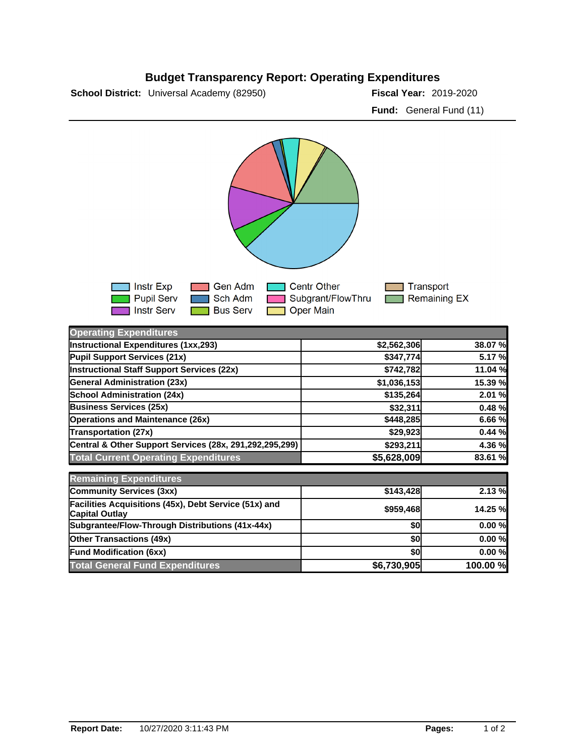## **Budget Transparency Report: Operating Expenditures**

**School District:** Universal Academy (82950) **2018-2010 Piscal Year:** 2019-2020

**Fund:** General Fund (11)



| <b>Operating Expenditures</b>                                                  |             |          |
|--------------------------------------------------------------------------------|-------------|----------|
| Instructional Expenditures (1xx,293)                                           | \$2,562,306 | 38.07%   |
| Pupil Support Services (21x)                                                   | \$347,774   | 5.17 %   |
| <b>Instructional Staff Support Services (22x)</b>                              | \$742,782   | 11.04 %  |
| <b>General Administration (23x)</b>                                            | \$1,036,153 | 15.39 %  |
| <b>School Administration (24x)</b>                                             | \$135,264   | 2.01%    |
| <b>Business Services (25x)</b>                                                 | \$32,311    | 0.48%    |
| <b>Operations and Maintenance (26x)</b>                                        | \$448,285   | 6.66 %   |
| <b>Transportation (27x)</b>                                                    | \$29,923    | 0.44%    |
| Central & Other Support Services (28x, 291,292,295,299)                        | \$293,211   | 4.36 %   |
| <b>Total Current Operating Expenditures</b>                                    | \$5,628,009 | 83.61 %  |
| <b>Remaining Expenditures</b>                                                  |             |          |
| <b>Community Services (3xx)</b>                                                | \$143,428   | 2.13%    |
| Facilities Acquisitions (45x), Debt Service (51x) and<br><b>Capital Outlay</b> | \$959,468   | 14.25 %  |
| Subgrantee/Flow-Through Distributions (41x-44x)                                | \$0         | 0.00%    |
| <b>Other Transactions (49x)</b>                                                | \$0         | 0.00%    |
| <b>Fund Modification (6xx)</b>                                                 | \$0         | 0.00%    |
| <b>Total General Fund Expenditures</b>                                         | \$6,730,905 | 100.00 % |